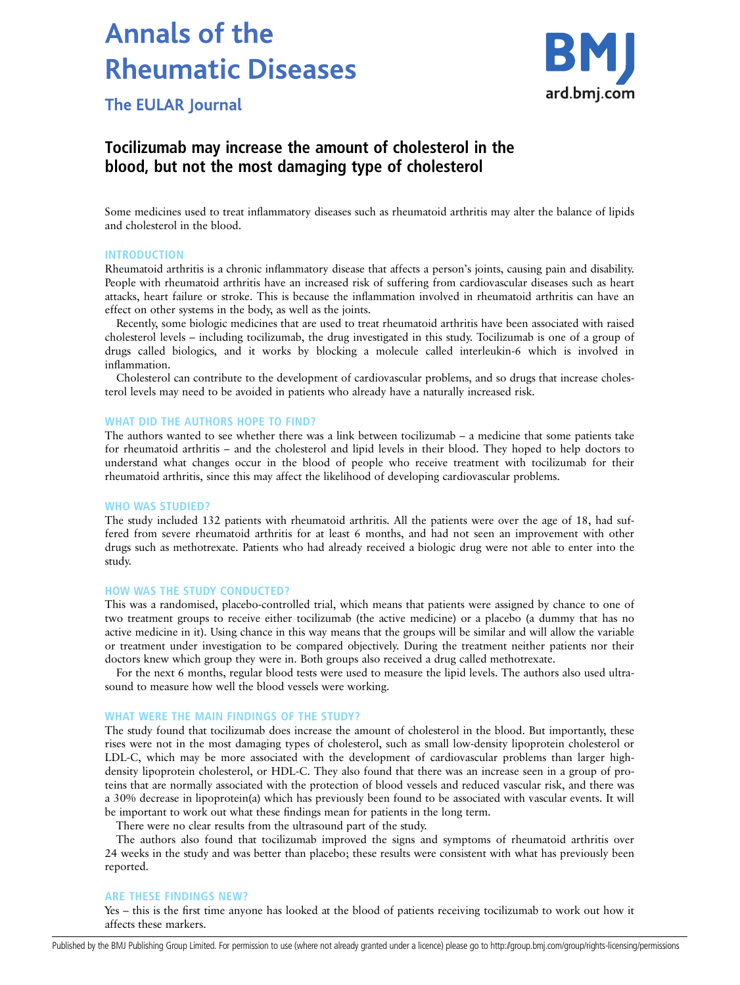# **Annals of the Rheumatic Diseases**



**The EULAR Journal** 

# Tocilizumab may increase the amount of cholesterol in the blood, but not the most damaging type of cholesterol

Some medicines used to treat inflammatory diseases such as rheumatoid arthritis may alter the balance of lipids and cholesterol in the blood.

#### INTRODUCTION

Rheumatoid arthritis is a chronic inflammatory disease that affects a person's joints, causing pain and disability. People with rheumatoid arthritis have an increased risk of suffering from cardiovascular diseases such as heart attacks, heart failure or stroke. This is because the inflammation involved in rheumatoid arthritis can have an effect on other systems in the body, as well as the joints.

Recently, some biologic medicines that are used to treat rheumatoid arthritis have been associated with raised cholesterol levels – including tocilizumab, the drug investigated in this study. Tocilizumab is one of a group of drugs called biologics, and it works by blocking a molecule called interleukin-6 which is involved in inflammation.

Cholesterol can contribute to the development of cardiovascular problems, and so drugs that increase cholesterol levels may need to be avoided in patients who already have a naturally increased risk.

## WHAT DID THE AUTHORS HOPE TO FIND?

The authors wanted to see whether there was a link between tocilizumab – a medicine that some patients take for rheumatoid arthritis – and the cholesterol and lipid levels in their blood. They hoped to help doctors to understand what changes occur in the blood of people who receive treatment with tocilizumab for their rheumatoid arthritis, since this may affect the likelihood of developing cardiovascular problems.

## WHO WAS STUDIED?

The study included 132 patients with rheumatoid arthritis. All the patients were over the age of 18, had suffered from severe rheumatoid arthritis for at least 6 months, and had not seen an improvement with other drugs such as methotrexate. Patients who had already received a biologic drug were not able to enter into the study.

#### HOW WAS THE STUDY CONDUCTED?

This was a randomised, placebo-controlled trial, which means that patients were assigned by chance to one of two treatment groups to receive either tocilizumab (the active medicine) or a placebo (a dummy that has no active medicine in it). Using chance in this way means that the groups will be similar and will allow the variable or treatment under investigation to be compared objectively. During the treatment neither patients nor their doctors knew which group they were in. Both groups also received a drug called methotrexate.

For the next 6 months, regular blood tests were used to measure the lipid levels. The authors also used ultrasound to measure how well the blood vessels were working.

#### WHAT WERE THE MAIN FINDINGS OF THE STUDY?

The study found that tocilizumab does increase the amount of cholesterol in the blood. But importantly, these rises were not in the most damaging types of cholesterol, such as small low-density lipoprotein cholesterol or LDL-C, which may be more associated with the development of cardiovascular problems than larger highdensity lipoprotein cholesterol, or HDL-C. They also found that there was an increase seen in a group of proteins that are normally associated with the protection of blood vessels and reduced vascular risk, and there was a 30% decrease in lipoprotein(a) which has previously been found to be associated with vascular events. It will be important to work out what these findings mean for patients in the long term.

There were no clear results from the ultrasound part of the study.

The authors also found that tocilizumab improved the signs and symptoms of rheumatoid arthritis over 24 weeks in the study and was better than placebo; these results were consistent with what has previously been reported.

# ARE THESE FINDINGS NEW?

Yes – this is the first time anyone has looked at the blood of patients receiving tocilizumab to work out how it affects these markers.